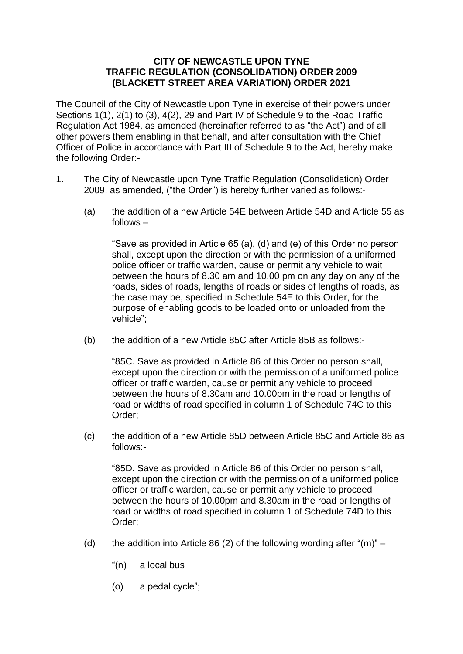#### **CITY OF NEWCASTLE UPON TYNE TRAFFIC REGULATION (CONSOLIDATION) ORDER 2009 (BLACKETT STREET AREA VARIATION) ORDER 2021**

The Council of the City of Newcastle upon Tyne in exercise of their powers under Sections 1(1), 2(1) to (3), 4(2), 29 and Part IV of Schedule 9 to the Road Traffic Regulation Act 1984, as amended (hereinafter referred to as "the Act") and of all other powers them enabling in that behalf, and after consultation with the Chief Officer of Police in accordance with Part III of Schedule 9 to the Act, hereby make the following Order:-

- 1. The City of Newcastle upon Tyne Traffic Regulation (Consolidation) Order 2009, as amended, ("the Order") is hereby further varied as follows:-
	- (a) the addition of a new Article 54E between Article 54D and Article 55 as follows –

"Save as provided in Article 65 (a), (d) and (e) of this Order no person shall, except upon the direction or with the permission of a uniformed police officer or traffic warden, cause or permit any vehicle to wait between the hours of 8.30 am and 10.00 pm on any day on any of the roads, sides of roads, lengths of roads or sides of lengths of roads, as the case may be, specified in Schedule 54E to this Order, for the purpose of enabling goods to be loaded onto or unloaded from the vehicle";

(b) the addition of a new Article 85C after Article 85B as follows:-

"85C. Save as provided in Article 86 of this Order no person shall, except upon the direction or with the permission of a uniformed police officer or traffic warden, cause or permit any vehicle to proceed between the hours of 8.30am and 10.00pm in the road or lengths of road or widths of road specified in column 1 of Schedule 74C to this Order;

(c) the addition of a new Article 85D between Article 85C and Article 86 as follows:-

"85D. Save as provided in Article 86 of this Order no person shall, except upon the direction or with the permission of a uniformed police officer or traffic warden, cause or permit any vehicle to proceed between the hours of 10.00pm and 8.30am in the road or lengths of road or widths of road specified in column 1 of Schedule 74D to this Order;

- (d) the addition into Article 86 (2) of the following wording after " $(m)$ "
	- "(n) a local bus
	- (o) a pedal cycle";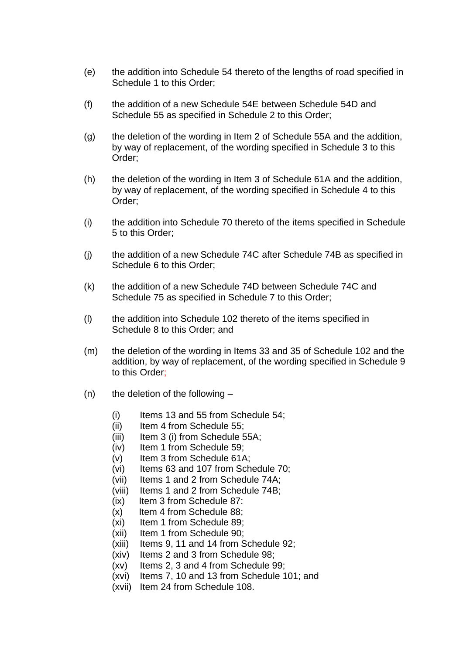- (e) the addition into Schedule 54 thereto of the lengths of road specified in Schedule 1 to this Order;
- (f) the addition of a new Schedule 54E between Schedule 54D and Schedule 55 as specified in Schedule 2 to this Order;
- (g) the deletion of the wording in Item 2 of Schedule 55A and the addition, by way of replacement, of the wording specified in Schedule 3 to this Order;
- (h) the deletion of the wording in Item 3 of Schedule 61A and the addition, by way of replacement, of the wording specified in Schedule 4 to this Order;
- (i) the addition into Schedule 70 thereto of the items specified in Schedule 5 to this Order;
- (j) the addition of a new Schedule 74C after Schedule 74B as specified in Schedule 6 to this Order;
- (k) the addition of a new Schedule 74D between Schedule 74C and Schedule 75 as specified in Schedule 7 to this Order;
- (l) the addition into Schedule 102 thereto of the items specified in Schedule 8 to this Order; and
- (m) the deletion of the wording in Items 33 and 35 of Schedule 102 and the addition, by way of replacement, of the wording specified in Schedule 9 to this Order;
- $(n)$  the deletion of the following
	- (i) Items 13 and 55 from Schedule 54;
	- (ii) Item 4 from Schedule 55;
	- (iii) Item 3 (i) from Schedule 55A;
	- (iv) Item 1 from Schedule 59;
	- (v) Item 3 from Schedule 61A;
	- (vi) Items 63 and 107 from Schedule 70;
	- (vii) Items 1 and 2 from Schedule 74A;
	- (viii) Items 1 and 2 from Schedule 74B;
	- (ix) Item 3 from Schedule 87:
	- (x) Item 4 from Schedule 88;
	- (xi) Item 1 from Schedule 89;
	- (xii) Item 1 from Schedule 90;
	- (xiii) Items 9, 11 and 14 from Schedule 92;
	- (xiv) Items 2 and 3 from Schedule 98;
	- (xv) Items 2, 3 and 4 from Schedule 99;
	- (xvi) Items 7, 10 and 13 from Schedule 101; and
	- (xvii) Item 24 from Schedule 108.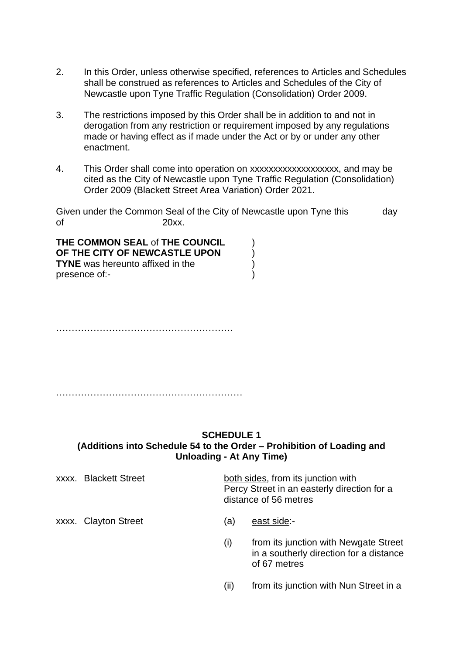- 2. In this Order, unless otherwise specified, references to Articles and Schedules shall be construed as references to Articles and Schedules of the City of Newcastle upon Tyne Traffic Regulation (Consolidation) Order 2009.
- 3. The restrictions imposed by this Order shall be in addition to and not in derogation from any restriction or requirement imposed by any regulations made or having effect as if made under the Act or by or under any other enactment.
- 4. This Order shall come into operation on xxxxxxxxxxxxxxxxxxx, and may be cited as the City of Newcastle upon Tyne Traffic Regulation (Consolidation) Order 2009 (Blackett Street Area Variation) Order 2021.

|    | Given under the Common Seal of the City of Newcastle upon Tyne this | day |
|----|---------------------------------------------------------------------|-----|
| of | 20xx.                                                               |     |

## **THE COMMON SEAL** of **THE COUNCIL** ) **OF THE CITY OF NEWCASTLE UPON** ) **TYNE** was hereunto affixed in the presence of:- (a)

…………………………………………………

……………………………………………………

## **SCHEDULE 1 (Additions into Schedule 54 to the Order – Prohibition of Loading and Unloading - At Any Time)**

| <b>xxxx.</b> Blackett Street |     | both sides, from its junction with<br>Percy Street in an easterly direction for a<br>distance of 56 metres |
|------------------------------|-----|------------------------------------------------------------------------------------------------------------|
| xxxx. Clayton Street         | (a) | east side:-                                                                                                |
|                              | (i) | from its junction with Newgate Street<br>in a southerly direction for a distance<br>of 67 metres           |

(ii) from its junction with Nun Street in a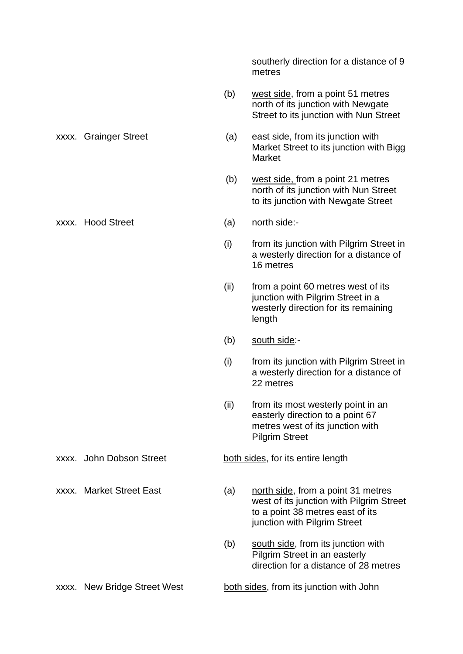southerly direction for a distance of 9 metres

- (b) west side, from a point 51 metres north of its junction with Newgate Street to its junction with Nun Street
- xxxx. Grainger Street (a) east side, from its junction with Market Street to its junction with Bigg Market
	- (b) west side, from a point 21 metres north of its junction with Nun Street to its junction with Newgate Street
	-
	- (i) from its junction with Pilgrim Street in a westerly direction for a distance of 16 metres
	- (ii) from a point 60 metres west of its junction with Pilgrim Street in a westerly direction for its remaining length
	- (b) south side:-
	- (i) from its junction with Pilgrim Street in a westerly direction for a distance of 22 metres
	- (ii) from its most westerly point in an easterly direction to a point 67 metres west of its junction with Pilgrim Street
- xxxx. John Dobson Street both sides, for its entire length
- 
- xxxx. Market Street East (a) north side, from a point 31 metres west of its junction with Pilgrim Street to a point 38 metres east of its junction with Pilgrim Street
	- (b) south side, from its junction with Pilgrim Street in an easterly direction for a distance of 28 metres
- xxxx. New Bridge Street West both sides, from its junction with John

xxxx. Hood Street (a) north side:-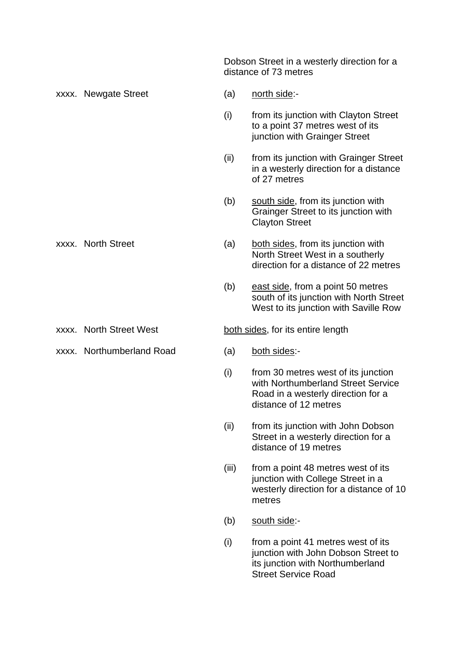Dobson Street in a westerly direction for a distance of 73 metres

- xxxx. Newgate Street (a) north side:-(i) from its junction with Clayton Street to a point 37 metres west of its junction with Grainger Street (ii) from its junction with Grainger Street in a westerly direction for a distance of 27 metres (b) south side, from its junction with Grainger Street to its junction with Clayton Street xxxx. North Street (a) both sides, from its junction with North Street West in a southerly direction for a distance of 22 metres (b) east side, from a point 50 metres south of its junction with North Street West to its junction with Saville Row xxxx. North Street West both sides, for its entire length xxxx. Northumberland Road (a) both sides:- (i) from 30 metres west of its junction with Northumberland Street Service Road in a westerly direction for a distance of 12 metres (ii) from its junction with John Dobson Street in a westerly direction for a distance of 19 metres (iii) from a point 48 metres west of its
	- junction with College Street in a westerly direction for a distance of 10 metres
	- (b) south side:-
	- (i) from a point 41 metres west of its junction with John Dobson Street to its junction with Northumberland Street Service Road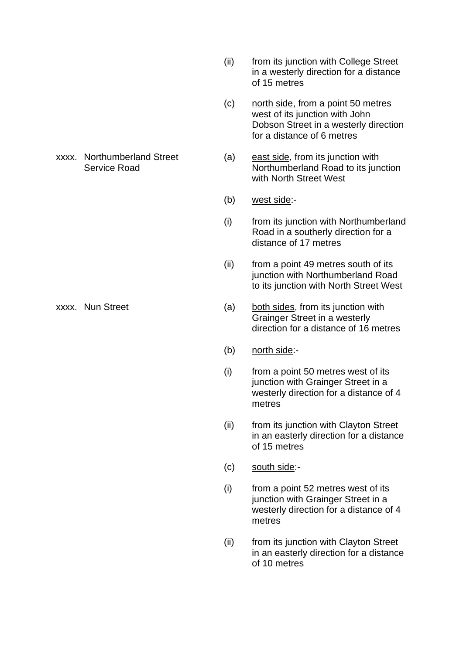- (ii) from its junction with College Street in a westerly direction for a distance of 15 metres
- (c) north side, from a point 50 metres west of its junction with John Dobson Street in a westerly direction for a distance of 6 metres
- xxxx. Northumberland Street (a) east side, from its junction with Service Road Northumberland Road to its junction with North Street West
	- (b) west side:-
	- (i) from its junction with Northumberland Road in a southerly direction for a distance of 17 metres
	- (ii) from a point 49 metres south of its junction with Northumberland Road to its junction with North Street West
- xxxx. Nun Street (a) both sides, from its junction with Grainger Street in a westerly direction for a distance of 16 metres
	- (b) north side:-
	- (i) from a point 50 metres west of its junction with Grainger Street in a westerly direction for a distance of 4 metres
	- (ii) from its junction with Clayton Street in an easterly direction for a distance of 15 metres
	- (c) south side:-
	- (i) from a point 52 metres west of its junction with Grainger Street in a westerly direction for a distance of 4 metres
	- (ii) from its junction with Clayton Street in an easterly direction for a distance of 10 metres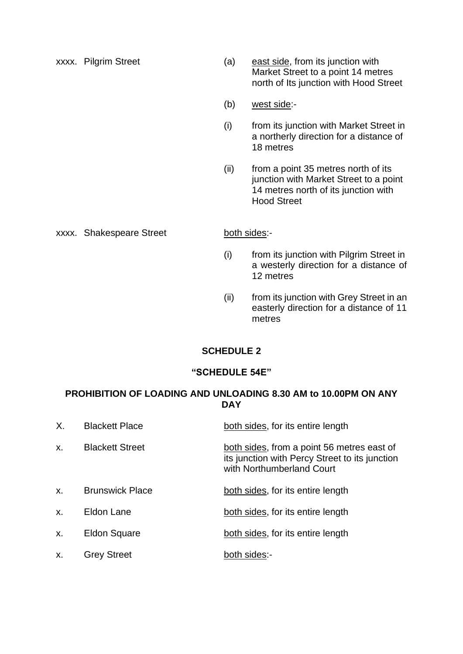xxxx. Pilgrim Street (a) east side, from its junction with Market Street to a point 14 metres north of Its junction with Hood Street

- (b) west side:-
- (i) from its junction with Market Street in a northerly direction for a distance of 18 metres
- (ii) from a point 35 metres north of its junction with Market Street to a point 14 metres north of its junction with Hood Street

#### xxxx. Shakespeare Street both sides:-

- (i) from its junction with Pilgrim Street in a westerly direction for a distance of 12 metres
- (ii) from its junction with Grey Street in an easterly direction for a distance of 11 metres

## **SCHEDULE 2**

#### **"SCHEDULE 54E"**

## **PROHIBITION OF LOADING AND UNLOADING 8.30 AM to 10.00PM ON ANY DAY**

| Х. | <b>Blackett Place</b>  | both sides, for its entire length                                                                                         |
|----|------------------------|---------------------------------------------------------------------------------------------------------------------------|
| x. | <b>Blackett Street</b> | both sides, from a point 56 metres east of<br>its junction with Percy Street to its junction<br>with Northumberland Court |
| х. | <b>Brunswick Place</b> | both sides, for its entire length                                                                                         |
| x. | Eldon Lane             | both sides, for its entire length                                                                                         |
| х. | <b>Eldon Square</b>    | both sides, for its entire length                                                                                         |
| х. | <b>Grey Street</b>     | both sides:-                                                                                                              |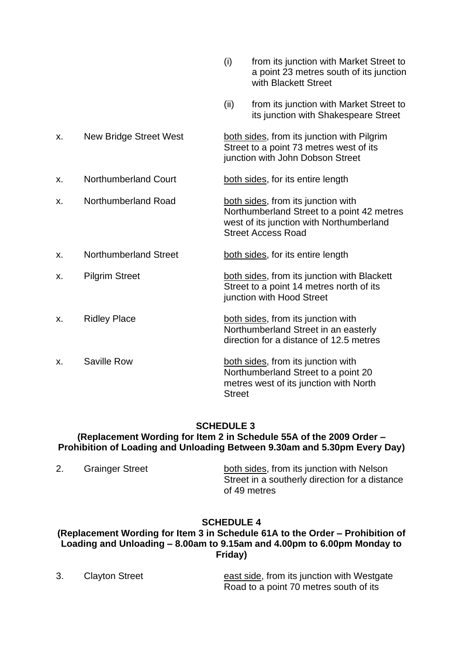|    |                               | (i)           | from its junction with Market Street to<br>a point 23 metres south of its junction<br>with Blackett Street                                                |
|----|-------------------------------|---------------|-----------------------------------------------------------------------------------------------------------------------------------------------------------|
|    |                               | (ii)          | from its junction with Market Street to<br>its junction with Shakespeare Street                                                                           |
| х. | <b>New Bridge Street West</b> |               | both sides, from its junction with Pilgrim<br>Street to a point 73 metres west of its<br>junction with John Dobson Street                                 |
| Х. | <b>Northumberland Court</b>   |               | both sides, for its entire length                                                                                                                         |
| х. | Northumberland Road           |               | both sides, from its junction with<br>Northumberland Street to a point 42 metres<br>west of its junction with Northumberland<br><b>Street Access Road</b> |
| х. | <b>Northumberland Street</b>  |               | both sides, for its entire length                                                                                                                         |
| X. | <b>Pilgrim Street</b>         |               | both sides, from its junction with Blackett<br>Street to a point 14 metres north of its<br>junction with Hood Street                                      |
| X. | <b>Ridley Place</b>           |               | both sides, from its junction with<br>Northumberland Street in an easterly<br>direction for a distance of 12.5 metres                                     |
| X. | <b>Saville Row</b>            | <b>Street</b> | both sides, from its junction with<br>Northumberland Street to a point 20<br>metres west of its junction with North                                       |

## **SCHEDULE 3**

## **(Replacement Wording for Item 2 in Schedule 55A of the 2009 Order – Prohibition of Loading and Unloading Between 9.30am and 5.30pm Every Day)**

2. Grainger Street both sides, from its junction with Nelson Street in a southerly direction for a distance of 49 metres

## **SCHEDULE 4**

## **(Replacement Wording for Item 3 in Schedule 61A to the Order – Prohibition of Loading and Unloading – 8.00am to 9.15am and 4.00pm to 6.00pm Monday to Friday)**

3. Clayton Street east side, from its junction with Westgate Road to a point 70 metres south of its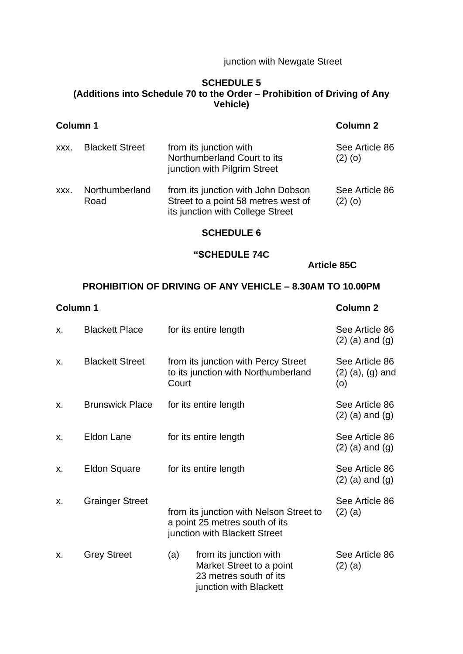junction with Newgate Street

## **SCHEDULE 5 (Additions into Schedule 70 to the Order – Prohibition of Driving of Any Vehicle)**

| Column 1 |                        |                                                                                                               | Column <sub>2</sub>         |
|----------|------------------------|---------------------------------------------------------------------------------------------------------------|-----------------------------|
| XXX.     | <b>Blackett Street</b> | from its junction with<br>Northumberland Court to its<br>junction with Pilgrim Street                         | See Article 86<br>$(2)$ (o) |
| XXX.     | Northumberland<br>Road | from its junction with John Dobson<br>Street to a point 58 metres west of<br>its junction with College Street | See Article 86<br>$(2)$ (o) |

#### **SCHEDULE 6**

#### **"SCHEDULE 74C**

**Article 85C**

## **PROHIBITION OF DRIVING OF ANY VEHICLE – 8.30AM TO 10.00PM**

|           | <b>Column 1</b>        |                                                                                                               | <b>Column 2</b>                             |
|-----------|------------------------|---------------------------------------------------------------------------------------------------------------|---------------------------------------------|
| X.        | <b>Blackett Place</b>  | for its entire length                                                                                         | See Article 86<br>$(2)$ (a) and $(g)$       |
| X.        | <b>Blackett Street</b> | from its junction with Percy Street<br>to its junction with Northumberland<br>Court                           | See Article 86<br>$(2)$ (a), (g) and<br>(0) |
| Х.        | <b>Brunswick Place</b> | for its entire length                                                                                         | See Article 86<br>$(2)$ (a) and $(g)$       |
| X.        | Eldon Lane             | for its entire length                                                                                         | See Article 86<br>$(2)$ (a) and $(g)$       |
| X.        | <b>Eldon Square</b>    | for its entire length                                                                                         | See Article 86<br>$(2)$ (a) and $(g)$       |
| <b>X.</b> | <b>Grainger Street</b> | from its junction with Nelson Street to<br>a point 25 metres south of its<br>junction with Blackett Street    | See Article 86<br>$(2)$ (a)                 |
| X.        | <b>Grey Street</b>     | (a)<br>from its junction with<br>Market Street to a point<br>23 metres south of its<br>junction with Blackett | See Article 86<br>$(2)$ (a)                 |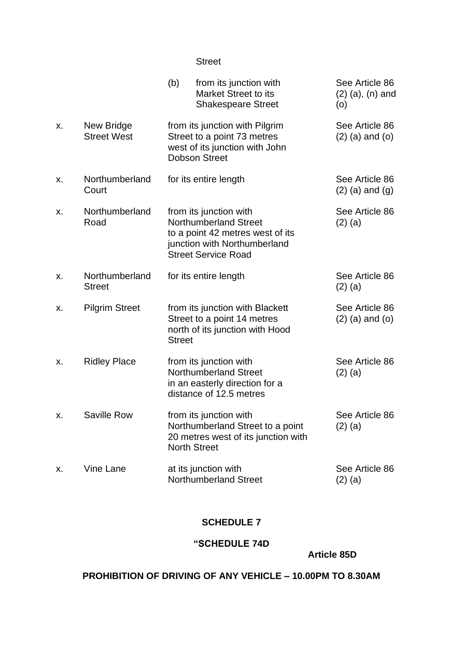## Street

|    |                                  | (b)<br>from its junction with<br><b>Market Street to its</b><br><b>Shakespeare Street</b>                                                                | See Article 86<br>$(2)$ $(a)$ , $(n)$ and<br>(0) |
|----|----------------------------------|----------------------------------------------------------------------------------------------------------------------------------------------------------|--------------------------------------------------|
| х. | New Bridge<br><b>Street West</b> | from its junction with Pilgrim<br>Street to a point 73 metres<br>west of its junction with John<br><b>Dobson Street</b>                                  | See Article 86<br>$(2)$ (a) and (o)              |
| X. | Northumberland<br>Court          | for its entire length                                                                                                                                    | See Article 86<br>$(2)$ (a) and $(g)$            |
| X. | Northumberland<br>Road           | from its junction with<br><b>Northumberland Street</b><br>to a point 42 metres west of its<br>junction with Northumberland<br><b>Street Service Road</b> | See Article 86<br>$(2)$ (a)                      |
| X. | Northumberland<br><b>Street</b>  | for its entire length                                                                                                                                    | See Article 86<br>$(2)$ (a)                      |
| X. | <b>Pilgrim Street</b>            | from its junction with Blackett<br>Street to a point 14 metres<br>north of its junction with Hood<br><b>Street</b>                                       | See Article 86<br>$(2)$ (a) and (o)              |
| X. | <b>Ridley Place</b>              | from its junction with<br><b>Northumberland Street</b><br>in an easterly direction for a<br>distance of 12.5 metres                                      | See Article 86<br>$(2)$ (a)                      |
| X. | <b>Saville Row</b>               | from its junction with<br>Northumberland Street to a point<br>20 metres west of its junction with<br><b>North Street</b>                                 | See Article 86<br>$(2)$ $(a)$                    |
| х. | Vine Lane                        | at its junction with<br>Northumberland Street                                                                                                            | See Article 86<br>$(2)$ (a)                      |

## **SCHEDULE 7**

# **"SCHEDULE 74D**

**Article 85D**

# **PROHIBITION OF DRIVING OF ANY VEHICLE – 10.00PM TO 8.30AM**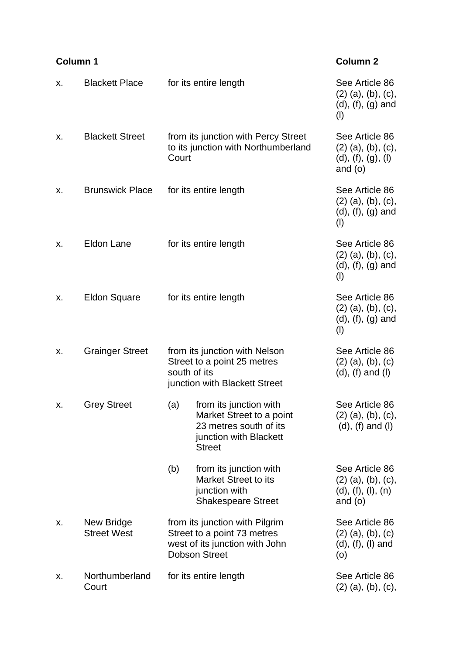| <b>Column 1</b> |                                  |              | <b>Column 2</b>                                                                                                             |                                                                            |
|-----------------|----------------------------------|--------------|-----------------------------------------------------------------------------------------------------------------------------|----------------------------------------------------------------------------|
| х.              | <b>Blackett Place</b>            |              | for its entire length                                                                                                       | See Article 86<br>$(2)$ (a), (b), (c),<br>$(d), (f), (g)$ and<br>(1)       |
| х.              | <b>Blackett Street</b>           | Court        | from its junction with Percy Street<br>to its junction with Northumberland                                                  | See Article 86<br>$(2)$ (a), (b), (c),<br>(d), (f), (g), (l)<br>and $(o)$  |
| X.              | <b>Brunswick Place</b>           |              | for its entire length                                                                                                       | See Article 86<br>$(2)$ (a), (b), (c),<br>$(d), (f), (g)$ and<br>(1)       |
| X.              | Eldon Lane                       |              | for its entire length                                                                                                       | See Article 86<br>$(2)$ (a), (b), (c),<br>$(d), (f), (g)$ and<br>(1)       |
| х.              | <b>Eldon Square</b>              |              | for its entire length                                                                                                       | See Article 86<br>$(2)$ (a), (b), (c),<br>$(d)$ , $(f)$ , $(g)$ and<br>(1) |
| х.              | <b>Grainger Street</b>           | south of its | from its junction with Nelson<br>Street to a point 25 metres<br>junction with Blackett Street                               | See Article 86<br>$(2)$ (a), (b), (c)<br>$(d)$ , $(f)$ and $(l)$           |
| Χ.              | <b>Grey Street</b>               |              | (a) from its junction with<br>Market Street to a point<br>23 metres south of its<br>junction with Blackett<br><b>Street</b> | See Article 86<br>$(2)$ (a), (b), (c),<br>$(d)$ , $(f)$ and $(l)$          |
|                 |                                  | (b)          | from its junction with<br><b>Market Street to its</b><br>junction with<br><b>Shakespeare Street</b>                         | See Article 86<br>$(2)$ (a), (b), (c),<br>(d), (f), (l), (n)<br>and $(o)$  |
| х.              | New Bridge<br><b>Street West</b> |              | from its junction with Pilgrim<br>Street to a point 73 metres<br>west of its junction with John<br><b>Dobson Street</b>     | See Article 86<br>$(2)$ (a), (b), (c)<br>$(d), (f), (l)$ and<br>(0)        |
| х.              | Northumberland<br>Court          |              | for its entire length                                                                                                       | See Article 86<br>$(2)$ (a), (b), (c),                                     |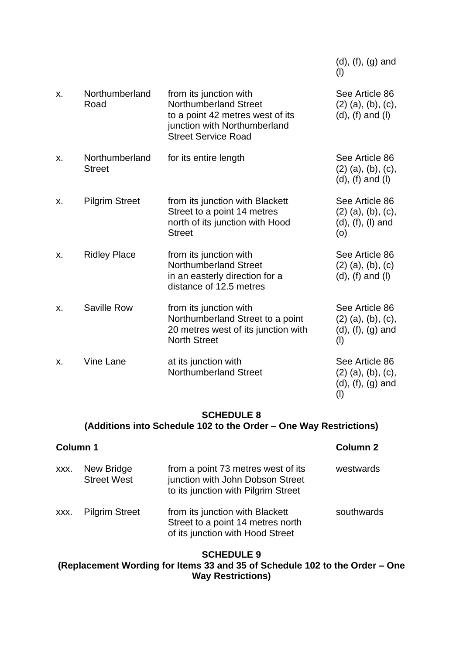|    |                                 |                                                                                                                                                          | $(d), (f), (g)$ and<br>(1)                                                    |
|----|---------------------------------|----------------------------------------------------------------------------------------------------------------------------------------------------------|-------------------------------------------------------------------------------|
| х. | Northumberland<br>Road          | from its junction with<br><b>Northumberland Street</b><br>to a point 42 metres west of its<br>junction with Northumberland<br><b>Street Service Road</b> | See Article 86<br>$(2)$ (a), (b), (c),<br>$(d)$ , $(f)$ and $(l)$             |
| Х. | Northumberland<br><b>Street</b> | for its entire length                                                                                                                                    | See Article 86<br>$(2)$ (a), (b), (c),<br>$(d)$ , $(f)$ and $(l)$             |
| х. | <b>Pilgrim Street</b>           | from its junction with Blackett<br>Street to a point 14 metres<br>north of its junction with Hood<br><b>Street</b>                                       | See Article 86<br>$(2)$ $(a)$ , $(b)$ , $(c)$ ,<br>$(d), (f), (I)$ and<br>(0) |
| X. | <b>Ridley Place</b>             | from its junction with<br><b>Northumberland Street</b><br>in an easterly direction for a<br>distance of 12.5 metres                                      | See Article 86<br>$(2)$ (a), (b), (c)<br>$(d)$ , $(f)$ and $(l)$              |
| х. | <b>Saville Row</b>              | from its junction with<br>Northumberland Street to a point<br>20 metres west of its junction with<br><b>North Street</b>                                 | See Article 86<br>$(2)$ $(a)$ , $(b)$ , $(c)$ ,<br>$(d), (f), (g)$ and<br>(1) |
| X. | Vine Lane                       | at its junction with<br><b>Northumberland Street</b>                                                                                                     | See Article 86<br>$(2)$ (a), (b), (c),<br>(d), (f), (g) and<br>$($ l $)$      |

## **SCHEDULE 8 (Additions into Schedule 102 to the Order – One Way Restrictions)**

|      | Column 1                         |                                                                                                               |            |
|------|----------------------------------|---------------------------------------------------------------------------------------------------------------|------------|
| XXX. | New Bridge<br><b>Street West</b> | from a point 73 metres west of its<br>junction with John Dobson Street<br>to its junction with Pilgrim Street | westwards  |
| XXX. | <b>Pilgrim Street</b>            | from its junction with Blackett<br>Street to a point 14 metres north<br>of its junction with Hood Street      | southwards |
|      |                                  | <b>SCHEDULE 9</b>                                                                                             |            |

**(Replacement Wording for Items 33 and 35 of Schedule 102 to the Order – One Way Restrictions)**